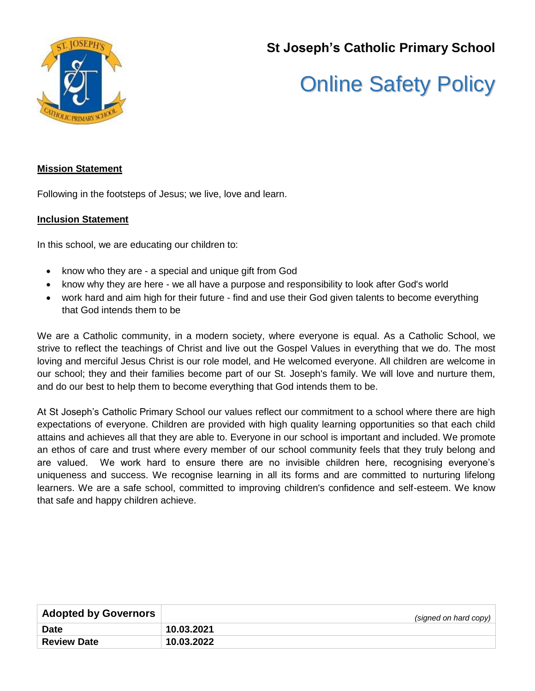

# **St Joseph's Catholic Primary School**

# **Online Safety Policy**

#### **Mission Statement**

Following in the footsteps of Jesus; we live, love and learn.

#### **Inclusion Statement**

In this school, we are educating our children to:

- know who they are a special and unique gift from God
- know why they are here we all have a purpose and responsibility to look after God's world
- work hard and aim high for their future find and use their God given talents to become everything that God intends them to be

We are a Catholic community, in a modern society, where everyone is equal. As a Catholic School, we strive to reflect the teachings of Christ and live out the Gospel Values in everything that we do. The most loving and merciful Jesus Christ is our role model, and He welcomed everyone. All children are welcome in our school; they and their families become part of our St. Joseph's family. We will love and nurture them, and do our best to help them to become everything that God intends them to be.

At St Joseph's Catholic Primary School our values reflect our commitment to a school where there are high expectations of everyone. Children are provided with high quality learning opportunities so that each child attains and achieves all that they are able to. Everyone in our school is important and included. We promote an ethos of care and trust where every member of our school community feels that they truly belong and are valued. We work hard to ensure there are no invisible children here, recognising everyone's uniqueness and success. We recognise learning in all its forms and are committed to nurturing lifelong learners. We are a safe school, committed to improving children's confidence and self-esteem. We know that safe and happy children achieve.

| <b>Adopted by Governors</b> | (signed on hard copy) |
|-----------------------------|-----------------------|
| <b>Date</b>                 | 10.03.2021            |
| <b>Review Date</b>          | 10.03.2022            |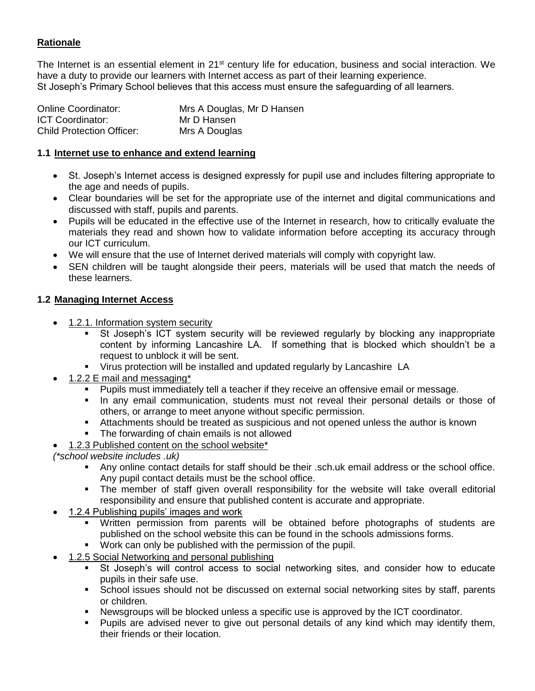# **Rationale**

The Internet is an essential element in 21<sup>st</sup> century life for education, business and social interaction. We have a duty to provide our learners with Internet access as part of their learning experience. St Joseph's Primary School believes that this access must ensure the safeguarding of all learners.

| <b>Online Coordinator:</b>       | Mrs A Douglas, Mr D Hansen |
|----------------------------------|----------------------------|
| <b>ICT Coordinator:</b>          | Mr D Hansen                |
| <b>Child Protection Officer:</b> | Mrs A Douglas              |

#### **1.1 Internet use to enhance and extend learning**

- St. Joseph's Internet access is designed expressly for pupil use and includes filtering appropriate to the age and needs of pupils.
- Clear boundaries will be set for the appropriate use of the internet and digital communications and discussed with staff, pupils and parents.
- Pupils will be educated in the effective use of the Internet in research, how to critically evaluate the materials they read and shown how to validate information before accepting its accuracy through our ICT curriculum.
- We will ensure that the use of Internet derived materials will comply with copyright law.
- SEN children will be taught alongside their peers, materials will be used that match the needs of these learners.

# **1.2 Managing Internet Access**

- 1.2.1. Information system security
	- St Joseph's ICT system security will be reviewed regularly by blocking any inappropriate content by informing Lancashire LA. If something that is blocked which shouldn't be a request to unblock it will be sent.
	- Virus protection will be installed and updated regularly by Lancashire LA
- 1.2.2 E mail and messaging\*
	- Pupils must immediately tell a teacher if they receive an offensive email or message.
	- In any email communication, students must not reveal their personal details or those of others, or arrange to meet anyone without specific permission.
	- Attachments should be treated as suspicious and not opened unless the author is known
	- The forwarding of chain emails is not allowed
- 1.2.3 Published content on the school website\*
- *(\*school website includes .uk)*
	- Any online contact details for staff should be their .sch.uk email address or the school office. Any pupil contact details must be the school office.
	- The member of staff given overall responsibility for the website will take overall editorial responsibility and ensure that published content is accurate and appropriate.
- 1.2.4 Publishing pupils' images and work
	- Written permission from parents will be obtained before photographs of students are published on the school website this can be found in the schools admissions forms.
	- Work can only be published with the permission of the pupil.
- 1.2.5 Social Networking and personal publishing
	- St Joseph's will control access to social networking sites, and consider how to educate pupils in their safe use.
	- School issues should not be discussed on external social networking sites by staff, parents or children.
	- Newsgroups will be blocked unless a specific use is approved by the ICT coordinator.
	- Pupils are advised never to give out personal details of any kind which may identify them, their friends or their location.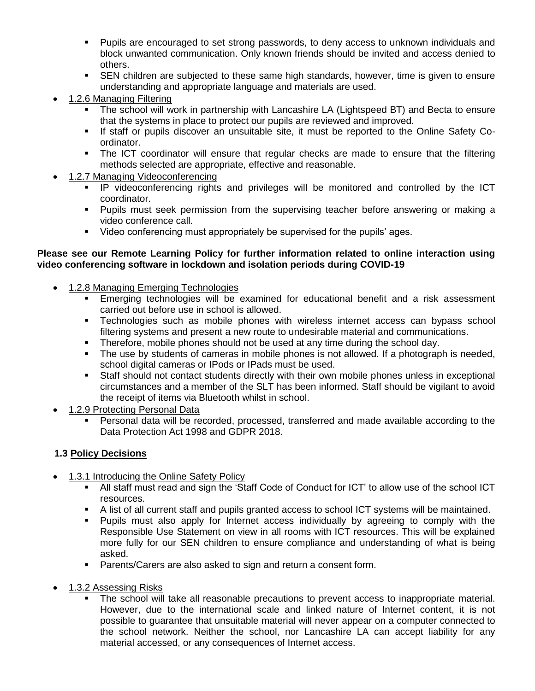- Pupils are encouraged to set strong passwords, to deny access to unknown individuals and block unwanted communication. Only known friends should be invited and access denied to others.
- SEN children are subjected to these same high standards, however, time is given to ensure understanding and appropriate language and materials are used.
- 1.2.6 Managing Filtering
	- The school will work in partnership with Lancashire LA (Lightspeed BT) and Becta to ensure that the systems in place to protect our pupils are reviewed and improved.
	- If staff or pupils discover an unsuitable site, it must be reported to the Online Safety Coordinator.
	- The ICT coordinator will ensure that regular checks are made to ensure that the filtering methods selected are appropriate, effective and reasonable.
- 1.2.7 Managing Videoconferencing
	- IP videoconferencing rights and privileges will be monitored and controlled by the ICT coordinator.
	- Pupils must seek permission from the supervising teacher before answering or making a video conference call.
	- Video conferencing must appropriately be supervised for the pupils' ages.

#### **Please see our Remote Learning Policy for further information related to online interaction using video conferencing software in lockdown and isolation periods during COVID-19**

- 1.2.8 Managing Emerging Technologies
	- Emerging technologies will be examined for educational benefit and a risk assessment carried out before use in school is allowed.
	- **Technologies such as mobile phones with wireless internet access can bypass school** filtering systems and present a new route to undesirable material and communications.
	- Therefore, mobile phones should not be used at any time during the school day.
	- The use by students of cameras in mobile phones is not allowed. If a photograph is needed, school digital cameras or IPods or IPads must be used.
	- Staff should not contact students directly with their own mobile phones unless in exceptional circumstances and a member of the SLT has been informed. Staff should be vigilant to avoid the receipt of items via Bluetooth whilst in school.
- 1.2.9 Protecting Personal Data
	- Personal data will be recorded, processed, transferred and made available according to the Data Protection Act 1998 and GDPR 2018.

# **1.3 Policy Decisions**

- 1.3.1 Introducing the Online Safety Policy
	- All staff must read and sign the 'Staff Code of Conduct for ICT' to allow use of the school ICT resources.
	- A list of all current staff and pupils granted access to school ICT systems will be maintained.
	- Pupils must also apply for Internet access individually by agreeing to comply with the Responsible Use Statement on view in all rooms with ICT resources. This will be explained more fully for our SEN children to ensure compliance and understanding of what is being asked.
	- **Parents/Carers are also asked to sign and return a consent form.**
- 1.3.2 Assessing Risks
	- The school will take all reasonable precautions to prevent access to inappropriate material. However, due to the international scale and linked nature of Internet content, it is not possible to guarantee that unsuitable material will never appear on a computer connected to the school network. Neither the school, nor Lancashire LA can accept liability for any material accessed, or any consequences of Internet access.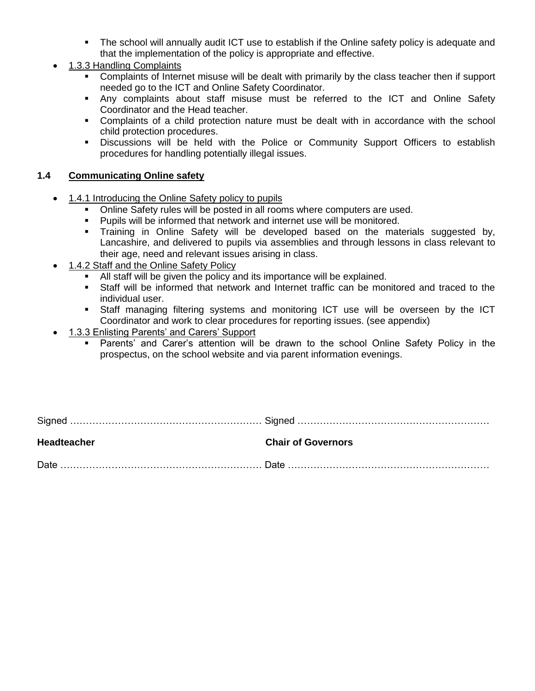- The school will annually audit ICT use to establish if the Online safety policy is adequate and that the implementation of the policy is appropriate and effective.
- 1.3.3 Handling Complaints
	- Complaints of Internet misuse will be dealt with primarily by the class teacher then if support needed go to the ICT and Online Safety Coordinator.
	- Any complaints about staff misuse must be referred to the ICT and Online Safety Coordinator and the Head teacher.
	- Complaints of a child protection nature must be dealt with in accordance with the school child protection procedures.
	- **-** Discussions will be held with the Police or Community Support Officers to establish procedures for handling potentially illegal issues.

#### **1.4 Communicating Online safety**

- 1.4.1 Introducing the Online Safety policy to pupils
	- Online Safety rules will be posted in all rooms where computers are used.
	- Pupils will be informed that network and internet use will be monitored.
	- Training in Online Safety will be developed based on the materials suggested by, Lancashire, and delivered to pupils via assemblies and through lessons in class relevant to their age, need and relevant issues arising in class.
- 1.4.2 Staff and the Online Safety Policy
	- All staff will be given the policy and its importance will be explained.
	- Staff will be informed that network and Internet traffic can be monitored and traced to the individual user.
	- Staff managing filtering systems and monitoring ICT use will be overseen by the ICT Coordinator and work to clear procedures for reporting issues. (see appendix)
- 1.3.3 Enlisting Parents' and Carers' Support
	- Parents' and Carer's attention will be drawn to the school Online Safety Policy in the prospectus, on the school website and via parent information evenings.

Signed …………………………………………………… Signed ……………………………………………………

**Headteacher Chair of Governors**

Date ……………………………………………………… Date ………………………………………………………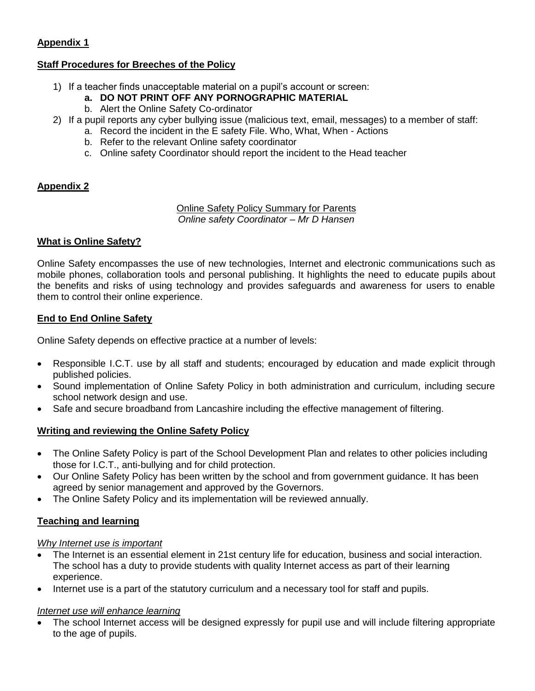# **Appendix 1**

#### **Staff Procedures for Breeches of the Policy**

- 1) If a teacher finds unacceptable material on a pupil's account or screen:
	- **a. DO NOT PRINT OFF ANY PORNOGRAPHIC MATERIAL**
	- b. Alert the Online Safety Co-ordinator
- 2) If a pupil reports any cyber bullying issue (malicious text, email, messages) to a member of staff:
	- a. Record the incident in the E safety File. Who, What, When Actions
	- b. Refer to the relevant Online safety coordinator
	- c. Online safety Coordinator should report the incident to the Head teacher

# **Appendix 2**

#### Online Safety Policy Summary for Parents *Online safety Coordinator – Mr D Hansen*

# **What is Online Safety?**

Online Safety encompasses the use of new technologies, Internet and electronic communications such as mobile phones, collaboration tools and personal publishing. It highlights the need to educate pupils about the benefits and risks of using technology and provides safeguards and awareness for users to enable them to control their online experience.

# **End to End Online Safety**

Online Safety depends on effective practice at a number of levels:

- Responsible I.C.T. use by all staff and students; encouraged by education and made explicit through published policies.
- Sound implementation of Online Safety Policy in both administration and curriculum, including secure school network design and use.
- Safe and secure broadband from Lancashire including the effective management of filtering.

# **Writing and reviewing the Online Safety Policy**

- The Online Safety Policy is part of the School Development Plan and relates to other policies including those for I.C.T., anti-bullying and for child protection.
- Our Online Safety Policy has been written by the school and from government guidance. It has been agreed by senior management and approved by the Governors.
- The Online Safety Policy and its implementation will be reviewed annually.

# **Teaching and learning**

# *Why Internet use is important*

- The Internet is an essential element in 21st century life for education, business and social interaction. The school has a duty to provide students with quality Internet access as part of their learning experience.
- Internet use is a part of the statutory curriculum and a necessary tool for staff and pupils.

# *Internet use will enhance learning*

 The school Internet access will be designed expressly for pupil use and will include filtering appropriate to the age of pupils.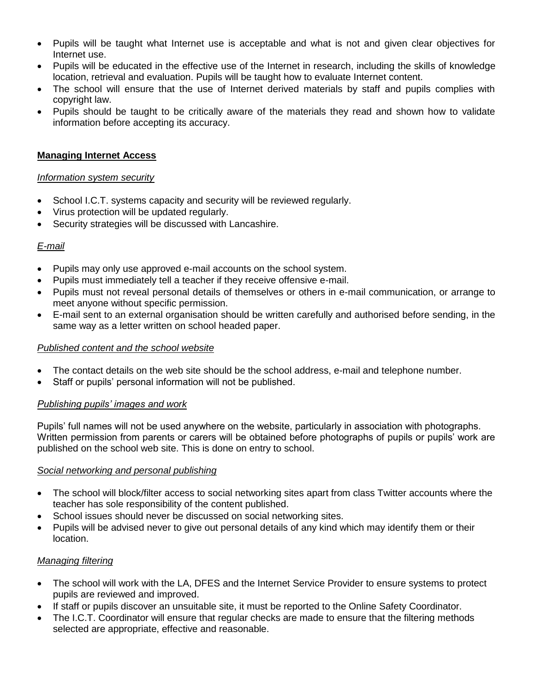- Pupils will be taught what Internet use is acceptable and what is not and given clear objectives for Internet use.
- Pupils will be educated in the effective use of the Internet in research, including the skills of knowledge location, retrieval and evaluation. Pupils will be taught how to evaluate Internet content.
- The school will ensure that the use of Internet derived materials by staff and pupils complies with copyright law.
- Pupils should be taught to be critically aware of the materials they read and shown how to validate information before accepting its accuracy.

#### **Managing Internet Access**

#### *Information system security*

- School I.C.T. systems capacity and security will be reviewed regularly.
- Virus protection will be updated regularly.
- Security strategies will be discussed with Lancashire.

#### *E-mail*

- Pupils may only use approved e-mail accounts on the school system.
- Pupils must immediately tell a teacher if they receive offensive e-mail.
- Pupils must not reveal personal details of themselves or others in e-mail communication, or arrange to meet anyone without specific permission.
- E-mail sent to an external organisation should be written carefully and authorised before sending, in the same way as a letter written on school headed paper.

#### *Published content and the school website*

- The contact details on the web site should be the school address, e-mail and telephone number.
- Staff or pupils' personal information will not be published.

#### *Publishing pupils' images and work*

Pupils' full names will not be used anywhere on the website, particularly in association with photographs. Written permission from parents or carers will be obtained before photographs of pupils or pupils' work are published on the school web site. This is done on entry to school.

#### *Social networking and personal publishing*

- The school will block/filter access to social networking sites apart from class Twitter accounts where the teacher has sole responsibility of the content published.
- School issues should never be discussed on social networking sites.
- Pupils will be advised never to give out personal details of any kind which may identify them or their location.

# *Managing filtering*

- The school will work with the LA, DFES and the Internet Service Provider to ensure systems to protect pupils are reviewed and improved.
- If staff or pupils discover an unsuitable site, it must be reported to the Online Safety Coordinator.
- The I.C.T. Coordinator will ensure that regular checks are made to ensure that the filtering methods selected are appropriate, effective and reasonable.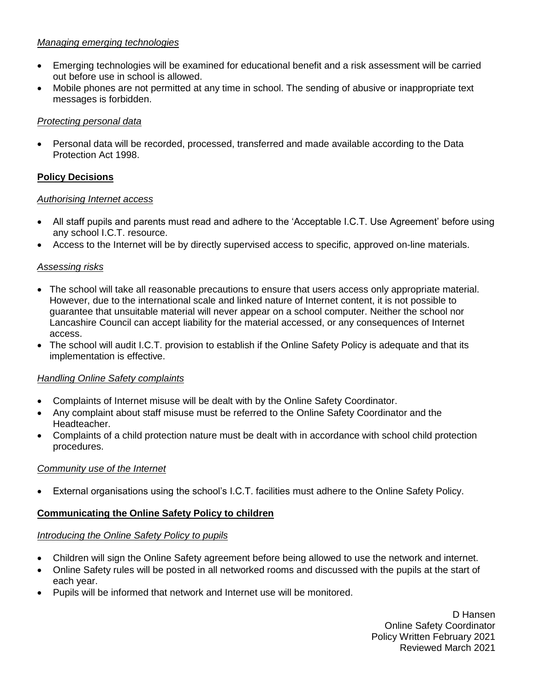# *Managing emerging technologies*

- Emerging technologies will be examined for educational benefit and a risk assessment will be carried out before use in school is allowed.
- Mobile phones are not permitted at any time in school. The sending of abusive or inappropriate text messages is forbidden.

## *Protecting personal data*

 Personal data will be recorded, processed, transferred and made available according to the Data Protection Act 1998.

# **Policy Decisions**

#### *Authorising Internet access*

- All staff pupils and parents must read and adhere to the 'Acceptable I.C.T. Use Agreement' before using any school I.C.T. resource.
- Access to the Internet will be by directly supervised access to specific, approved on-line materials.

# *Assessing risks*

- The school will take all reasonable precautions to ensure that users access only appropriate material. However, due to the international scale and linked nature of Internet content, it is not possible to guarantee that unsuitable material will never appear on a school computer. Neither the school nor Lancashire Council can accept liability for the material accessed, or any consequences of Internet access.
- The school will audit I.C.T. provision to establish if the Online Safety Policy is adequate and that its implementation is effective.

# *Handling Online Safety complaints*

- Complaints of Internet misuse will be dealt with by the Online Safety Coordinator.
- Any complaint about staff misuse must be referred to the Online Safety Coordinator and the Headteacher.
- Complaints of a child protection nature must be dealt with in accordance with school child protection procedures.

# *Community use of the Internet*

External organisations using the school's I.C.T. facilities must adhere to the Online Safety Policy.

# **Communicating the Online Safety Policy to children**

# *Introducing the Online Safety Policy to pupils*

- Children will sign the Online Safety agreement before being allowed to use the network and internet.
- Online Safety rules will be posted in all networked rooms and discussed with the pupils at the start of each year.
- Pupils will be informed that network and Internet use will be monitored.

D Hansen Online Safety Coordinator Policy Written February 2021 Reviewed March 2021